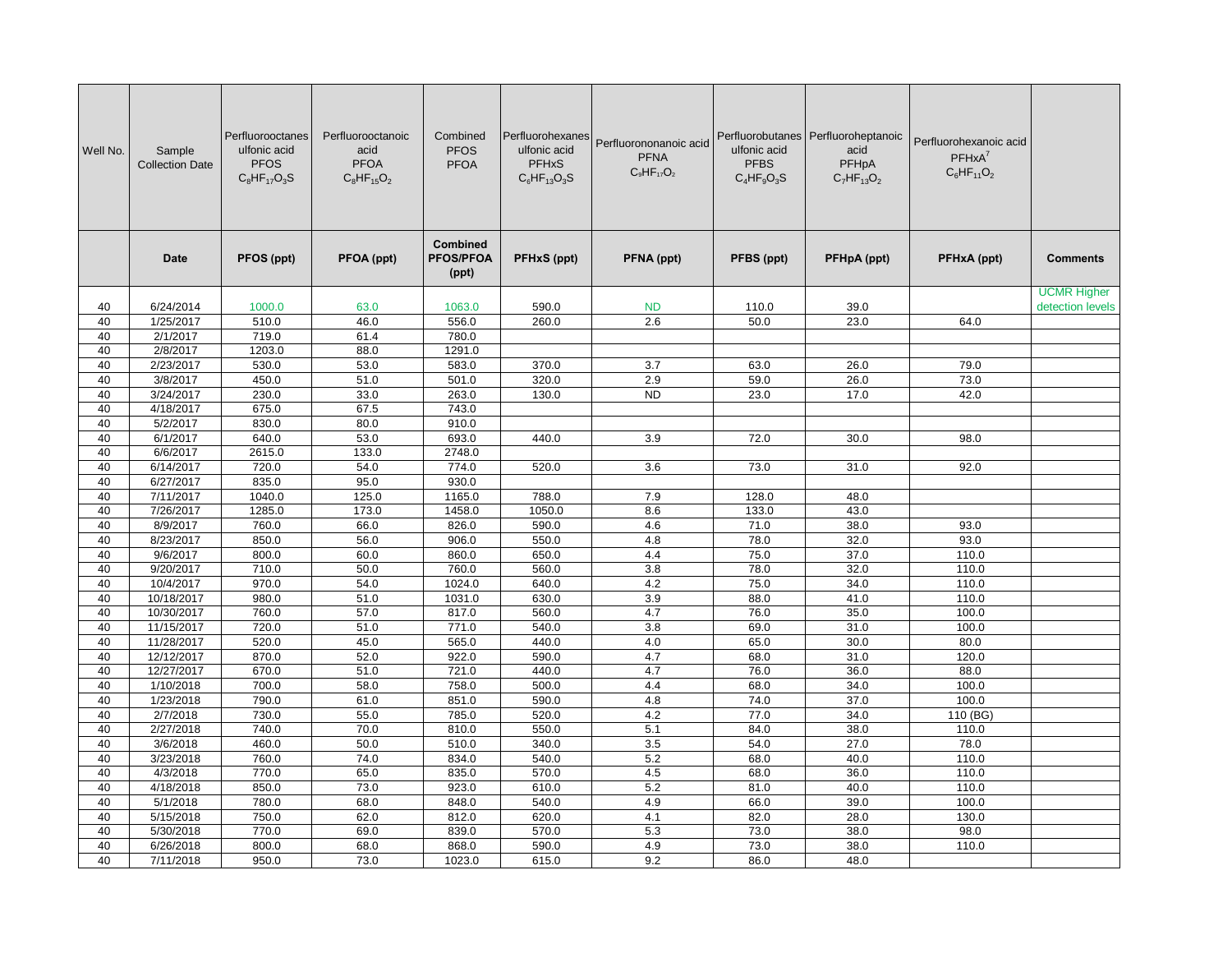| Well No. | Sample<br><b>Collection Date</b> | Perfluorooctanes<br>ulfonic acid<br><b>PFOS</b><br>$C_8HF_{17}O_3S$ | Perfluorooctanoic<br>acid<br><b>PFOA</b><br>$C_8HF_{15}O_2$ | Combined<br><b>PFOS</b><br><b>PFOA</b>       | Perfluorohexanes<br>ulfonic acid<br><b>PFHxS</b><br>$C_6HF_{13}O_3S$ | Perfluorononanoic acid<br><b>PFNA</b><br>$C_9HF_{17}O_2$ | ulfonic acid<br><b>PFBS</b><br>$C_4HF_9O_3S$ | Perfluorobutanes Perfluoroheptanoic<br>acid<br>PFHpA<br>$C_7HF_{13}O_2$ | Perfluorohexanoic acid<br>$PFHxA^7$<br>$C_6HF_{11}O_2$ |                                        |
|----------|----------------------------------|---------------------------------------------------------------------|-------------------------------------------------------------|----------------------------------------------|----------------------------------------------------------------------|----------------------------------------------------------|----------------------------------------------|-------------------------------------------------------------------------|--------------------------------------------------------|----------------------------------------|
|          | <b>Date</b>                      | PFOS (ppt)                                                          | PFOA (ppt)                                                  | <b>Combined</b><br><b>PFOS/PFOA</b><br>(ppt) | <b>PFHxS (ppt)</b>                                                   | PFNA (ppt)                                               | PFBS (ppt)                                   | PFHpA (ppt)                                                             | PFHxA (ppt)                                            | <b>Comments</b>                        |
| 40       | 6/24/2014                        | 1000.0                                                              | 63.0                                                        | 1063.0                                       | 590.0                                                                | <b>ND</b>                                                | 110.0                                        | 39.0                                                                    |                                                        | <b>UCMR Higher</b><br>detection levels |
| 40       | 1/25/2017                        | 510.0                                                               | 46.0                                                        | 556.0                                        | 260.0                                                                | 2.6                                                      | 50.0                                         | 23.0                                                                    | 64.0                                                   |                                        |
| 40       | 2/1/2017                         | 719.0                                                               | 61.4                                                        | 780.0                                        |                                                                      |                                                          |                                              |                                                                         |                                                        |                                        |
| 40       | 2/8/2017                         | 1203.0                                                              | 88.0                                                        | 1291.0                                       |                                                                      |                                                          |                                              |                                                                         |                                                        |                                        |
| 40       | 2/23/2017                        | 530.0                                                               | 53.0                                                        | 583.0                                        | 370.0                                                                | 3.7                                                      | 63.0                                         | 26.0                                                                    | 79.0                                                   |                                        |
| 40       | 3/8/2017                         | 450.0                                                               | 51.0                                                        | 501.0                                        | 320.0                                                                | 2.9                                                      | 59.0                                         | 26.0                                                                    | 73.0                                                   |                                        |
| 40       | 3/24/2017                        | 230.0                                                               | 33.0                                                        | 263.0                                        | 130.0                                                                | <b>ND</b>                                                | 23.0                                         | 17.0                                                                    | 42.0                                                   |                                        |
| 40       | 4/18/2017                        | 675.0                                                               | 67.5                                                        | 743.0                                        |                                                                      |                                                          |                                              |                                                                         |                                                        |                                        |
| 40       | 5/2/2017                         | 830.0                                                               | 80.0                                                        | 910.0                                        |                                                                      |                                                          |                                              |                                                                         |                                                        |                                        |
| 40       | 6/1/2017                         | 640.0                                                               | 53.0                                                        | 693.0                                        | 440.0                                                                | 3.9                                                      | 72.0                                         | 30.0                                                                    | 98.0                                                   |                                        |
| 40       | 6/6/2017                         | 2615.0                                                              | 133.0                                                       | 2748.0                                       |                                                                      |                                                          |                                              |                                                                         |                                                        |                                        |
| 40       | 6/14/2017                        | 720.0                                                               | 54.0                                                        | 774.0                                        | 520.0                                                                | 3.6                                                      | 73.0                                         | 31.0                                                                    | 92.0                                                   |                                        |
| 40       | 6/27/2017                        | 835.0                                                               | 95.0                                                        | 930.0                                        |                                                                      |                                                          |                                              |                                                                         |                                                        |                                        |
| 40       | 7/11/2017                        | 1040.0                                                              | 125.0                                                       | 1165.0                                       | 788.0                                                                | 7.9                                                      | 128.0                                        | 48.0                                                                    |                                                        |                                        |
| 40       | 7/26/2017                        | 1285.0                                                              | 173.0                                                       | 1458.0                                       | 1050.0                                                               | 8.6                                                      | 133.0                                        | 43.0                                                                    |                                                        |                                        |
| 40       | 8/9/2017                         | 760.0                                                               | 66.0                                                        | 826.0                                        | 590.0                                                                | 4.6                                                      | 71.0                                         | 38.0                                                                    | 93.0                                                   |                                        |
| 40       | 8/23/2017                        | 850.0                                                               | 56.0                                                        | 906.0                                        | 550.0                                                                | 4.8                                                      | 78.0                                         | 32.0                                                                    | 93.0                                                   |                                        |
| 40       | 9/6/2017                         | 800.0                                                               | 60.0                                                        | 860.0                                        | 650.0                                                                | 4.4                                                      | 75.0                                         | 37.0                                                                    | 110.0                                                  |                                        |
| 40       | 9/20/2017                        | 710.0                                                               | 50.0                                                        | 760.0                                        | 560.0                                                                | 3.8                                                      | 78.0                                         | 32.0                                                                    | 110.0                                                  |                                        |
| 40       | 10/4/2017                        | 970.0                                                               | 54.0                                                        | 1024.0                                       | 640.0                                                                | 4.2                                                      | 75.0                                         | 34.0                                                                    | 110.0                                                  |                                        |
| 40       | 10/18/2017                       | 980.0                                                               | 51.0                                                        | 1031.0                                       | 630.0                                                                | 3.9                                                      | 88.0                                         | 41.0                                                                    | 110.0                                                  |                                        |
| 40       | 10/30/2017                       | 760.0                                                               | 57.0                                                        | 817.0                                        | 560.0                                                                | 4.7                                                      | 76.0                                         | 35.0                                                                    | 100.0                                                  |                                        |
| 40       | 11/15/2017                       | 720.0                                                               | 51.0                                                        | 771.0                                        | 540.0                                                                | 3.8                                                      | 69.0                                         | 31.0                                                                    | 100.0                                                  |                                        |
| 40       | 11/28/2017                       | 520.0                                                               | 45.0                                                        | 565.0                                        | 440.0                                                                | 4.0                                                      | 65.0                                         | 30.0                                                                    | 80.0                                                   |                                        |
| 40       | 12/12/2017                       | 870.0                                                               | 52.0                                                        | 922.0                                        | 590.0                                                                | 4.7                                                      | 68.0                                         | 31.0                                                                    | 120.0                                                  |                                        |
| 40       | 12/27/2017                       | 670.0                                                               | 51.0                                                        | 721.0                                        | 440.0                                                                | 4.7                                                      | 76.0                                         | 36.0                                                                    | 88.0                                                   |                                        |
| 40       | 1/10/2018                        | 700.0                                                               | 58.0                                                        | 758.0                                        | 500.0                                                                | 4.4                                                      | 68.0                                         | 34.0                                                                    | 100.0                                                  |                                        |
| 40       | 1/23/2018                        | 790.0                                                               | 61.0                                                        | 851.0                                        | 590.0                                                                | 4.8                                                      | 74.0                                         | 37.0                                                                    | 100.0                                                  |                                        |
| 40       | 2/7/2018                         | 730.0                                                               | 55.0                                                        | 785.0                                        | 520.0                                                                | 4.2                                                      | 77.0                                         | 34.0                                                                    | 110 (BG)                                               |                                        |
| 40       | 2/27/2018                        | 740.0                                                               | 70.0                                                        | 810.0                                        | 550.0                                                                | 5.1                                                      | 84.0                                         | 38.0                                                                    | 110.0                                                  |                                        |
| 40       | 3/6/2018                         | 460.0                                                               | 50.0                                                        | 510.0                                        | 340.0                                                                | 3.5                                                      | 54.0                                         | 27.0                                                                    | 78.0                                                   |                                        |
| 40       | 3/23/2018                        | 760.0                                                               | 74.0                                                        | 834.0                                        | 540.0                                                                | 5.2                                                      | 68.0                                         | 40.0                                                                    | 110.0                                                  |                                        |
| 40       | 4/3/2018                         | 770.0                                                               | 65.0                                                        | 835.0                                        | 570.0                                                                | 4.5                                                      | 68.0                                         | 36.0                                                                    | 110.0                                                  |                                        |
| 40       | 4/18/2018                        | 850.0                                                               | 73.0                                                        | 923.0                                        | 610.0                                                                | 5.2                                                      | 81.0                                         | 40.0                                                                    | 110.0                                                  |                                        |
| 40       | 5/1/2018                         | 780.0                                                               | 68.0                                                        | 848.0                                        | 540.0                                                                | 4.9                                                      | 66.0                                         | 39.0                                                                    | 100.0                                                  |                                        |
| 40       | 5/15/2018                        | 750.0                                                               | 62.0                                                        | 812.0                                        | 620.0                                                                | 4.1                                                      | 82.0                                         | 28.0                                                                    | 130.0                                                  |                                        |
| 40       | 5/30/2018                        | 770.0                                                               | 69.0                                                        | 839.0                                        | 570.0                                                                | 5.3                                                      | 73.0                                         | 38.0                                                                    | 98.0                                                   |                                        |
| 40       | 6/26/2018                        | 800.0                                                               | 68.0                                                        | 868.0                                        | 590.0                                                                | 4.9                                                      | 73.0                                         | 38.0                                                                    | 110.0                                                  |                                        |
| 40       | 7/11/2018                        | 950.0                                                               | 73.0                                                        | 1023.0                                       | 615.0                                                                | 9.2                                                      | 86.0                                         | 48.0                                                                    |                                                        |                                        |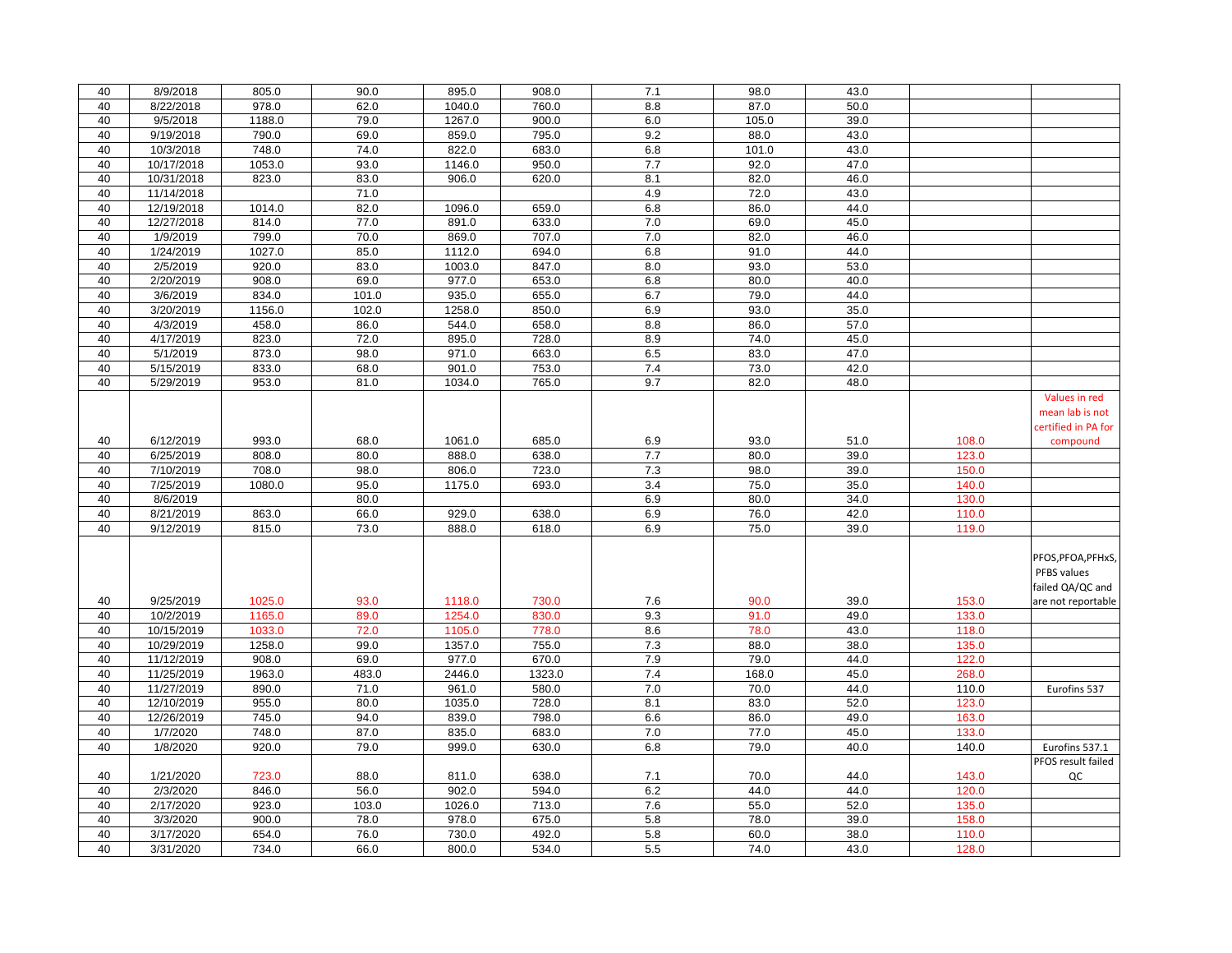| 40 | 8/9/2018   | 805.0  | 90.0  | 895.0  | 908.0  | 7.1 | 98.0  | 43.0 |       |                     |
|----|------------|--------|-------|--------|--------|-----|-------|------|-------|---------------------|
| 40 | 8/22/2018  | 978.0  | 62.0  | 1040.0 | 760.0  | 8.8 | 87.0  | 50.0 |       |                     |
| 40 | 9/5/2018   | 1188.0 | 79.0  | 1267.0 | 900.0  | 6.0 | 105.0 | 39.0 |       |                     |
| 40 | 9/19/2018  | 790.0  | 69.0  | 859.0  | 795.0  | 9.2 | 88.0  | 43.0 |       |                     |
| 40 | 10/3/2018  | 748.0  | 74.0  | 822.0  | 683.0  | 6.8 | 101.0 | 43.0 |       |                     |
| 40 | 10/17/2018 | 1053.0 | 93.0  | 1146.0 | 950.0  | 7.7 | 92.0  | 47.0 |       |                     |
| 40 | 10/31/2018 | 823.0  | 83.0  | 906.0  | 620.0  | 8.1 | 82.0  | 46.0 |       |                     |
| 40 | 11/14/2018 |        | 71.0  |        |        | 4.9 | 72.0  | 43.0 |       |                     |
| 40 | 12/19/2018 | 1014.0 | 82.0  | 1096.0 | 659.0  | 6.8 | 86.0  | 44.0 |       |                     |
| 40 | 12/27/2018 | 814.0  | 77.0  | 891.0  | 633.0  | 7.0 | 69.0  | 45.0 |       |                     |
| 40 | 1/9/2019   | 799.0  | 70.0  | 869.0  | 707.0  | 7.0 | 82.0  | 46.0 |       |                     |
| 40 | 1/24/2019  | 1027.0 | 85.0  | 1112.0 | 694.0  | 6.8 | 91.0  | 44.0 |       |                     |
| 40 | 2/5/2019   | 920.0  | 83.0  | 1003.0 | 847.0  | 8.0 | 93.0  | 53.0 |       |                     |
| 40 | 2/20/2019  | 908.0  | 69.0  | 977.0  | 653.0  | 6.8 | 80.0  | 40.0 |       |                     |
| 40 | 3/6/2019   | 834.0  | 101.0 | 935.0  | 655.0  | 6.7 | 79.0  | 44.0 |       |                     |
| 40 | 3/20/2019  | 1156.0 | 102.0 | 1258.0 | 850.0  | 6.9 | 93.0  | 35.0 |       |                     |
| 40 | 4/3/2019   | 458.0  | 86.0  | 544.0  | 658.0  | 8.8 | 86.0  | 57.0 |       |                     |
| 40 | 4/17/2019  | 823.0  | 72.0  | 895.0  | 728.0  | 8.9 | 74.0  | 45.0 |       |                     |
| 40 | 5/1/2019   | 873.0  | 98.0  | 971.0  | 663.0  | 6.5 | 83.0  | 47.0 |       |                     |
| 40 | 5/15/2019  | 833.0  | 68.0  | 901.0  | 753.0  | 7.4 | 73.0  | 42.0 |       |                     |
| 40 | 5/29/2019  | 953.0  | 81.0  | 1034.0 | 765.0  | 9.7 | 82.0  | 48.0 |       |                     |
|    |            |        |       |        |        |     |       |      |       | Values in red       |
|    |            |        |       |        |        |     |       |      |       | mean lab is not     |
|    |            |        |       |        |        |     |       |      |       | certified in PA for |
| 40 | 6/12/2019  | 993.0  | 68.0  | 1061.0 | 685.0  | 6.9 | 93.0  | 51.0 | 108.0 | compound            |
| 40 | 6/25/2019  | 808.0  | 80.0  | 888.0  | 638.0  | 7.7 | 80.0  | 39.0 | 123.0 |                     |
| 40 | 7/10/2019  | 708.0  | 98.0  | 806.0  | 723.0  | 7.3 | 98.0  | 39.0 | 150.0 |                     |
| 40 | 7/25/2019  | 1080.0 | 95.0  | 1175.0 | 693.0  | 3.4 | 75.0  | 35.0 | 140.0 |                     |
| 40 | 8/6/2019   |        | 80.0  |        |        | 6.9 | 80.0  | 34.0 | 130.0 |                     |
| 40 | 8/21/2019  | 863.0  | 66.0  | 929.0  | 638.0  | 6.9 | 76.0  | 42.0 | 110.0 |                     |
| 40 | 9/12/2019  | 815.0  | 73.0  | 888.0  | 618.0  | 6.9 | 75.0  | 39.0 | 119.0 |                     |
|    |            |        |       |        |        |     |       |      |       |                     |
|    |            |        |       |        |        |     |       |      |       | PFOS, PFOA, PFHxS,  |
|    |            |        |       |        |        |     |       |      |       | PFBS values         |
|    |            |        |       |        |        |     |       |      |       | failed QA/QC and    |
| 40 | 9/25/2019  | 1025.0 | 93.0  | 1118.0 | 730.0  | 7.6 | 90.0  | 39.0 | 153.0 | are not reportable  |
| 40 | 10/2/2019  | 1165.0 | 89.0  | 1254.0 | 830.0  | 9.3 | 91.0  | 49.0 | 133.0 |                     |
| 40 | 10/15/2019 | 1033.0 | 72.0  | 1105.0 | 778.0  | 8.6 | 78.0  | 43.0 | 118.0 |                     |
| 40 | 10/29/2019 | 1258.0 | 99.0  | 1357.0 | 755.0  | 7.3 | 88.0  | 38.0 | 135.0 |                     |
| 40 | 11/12/2019 | 908.0  | 69.0  | 977.0  | 670.0  | 7.9 | 79.0  | 44.0 | 122.0 |                     |
| 40 | 11/25/2019 | 1963.0 | 483.0 | 2446.0 | 1323.0 | 7.4 | 168.0 | 45.0 | 268.0 |                     |
| 40 | 11/27/2019 | 890.0  | 71.0  | 961.0  | 580.0  | 7.0 | 70.0  | 44.0 | 110.0 | Eurofins 537        |
| 40 | 12/10/2019 | 955.0  | 80.0  | 1035.0 | 728.0  | 8.1 | 83.0  | 52.0 | 123.0 |                     |
| 40 | 12/26/2019 | 745.0  | 94.0  | 839.0  | 798.0  | 6.6 | 86.0  | 49.0 | 163.0 |                     |
| 40 | 1/7/2020   | 748.0  | 87.0  | 835.0  | 683.0  | 7.0 | 77.0  | 45.0 | 133.0 |                     |
| 40 | 1/8/2020   | 920.0  | 79.0  | 999.0  | 630.0  | 6.8 | 79.0  | 40.0 | 140.0 | Eurofins 537.1      |
|    |            |        |       |        |        |     |       |      |       | PFOS result failed  |
| 40 | 1/21/2020  | 723.0  | 88.0  | 811.0  | 638.0  | 7.1 | 70.0  | 44.0 | 143.0 | QC                  |
| 40 | 2/3/2020   | 846.0  | 56.0  | 902.0  | 594.0  | 6.2 | 44.0  | 44.0 | 120.0 |                     |
| 40 | 2/17/2020  | 923.0  | 103.0 | 1026.0 | 713.0  | 7.6 | 55.0  | 52.0 | 135.0 |                     |
| 40 | 3/3/2020   | 900.0  | 78.0  | 978.0  | 675.0  | 5.8 | 78.0  | 39.0 | 158.0 |                     |
| 40 | 3/17/2020  | 654.0  | 76.0  | 730.0  | 492.0  | 5.8 | 60.0  | 38.0 | 110.0 |                     |
| 40 | 3/31/2020  | 734.0  | 66.0  | 800.0  | 534.0  | 5.5 | 74.0  | 43.0 | 128.0 |                     |
|    |            |        |       |        |        |     |       |      |       |                     |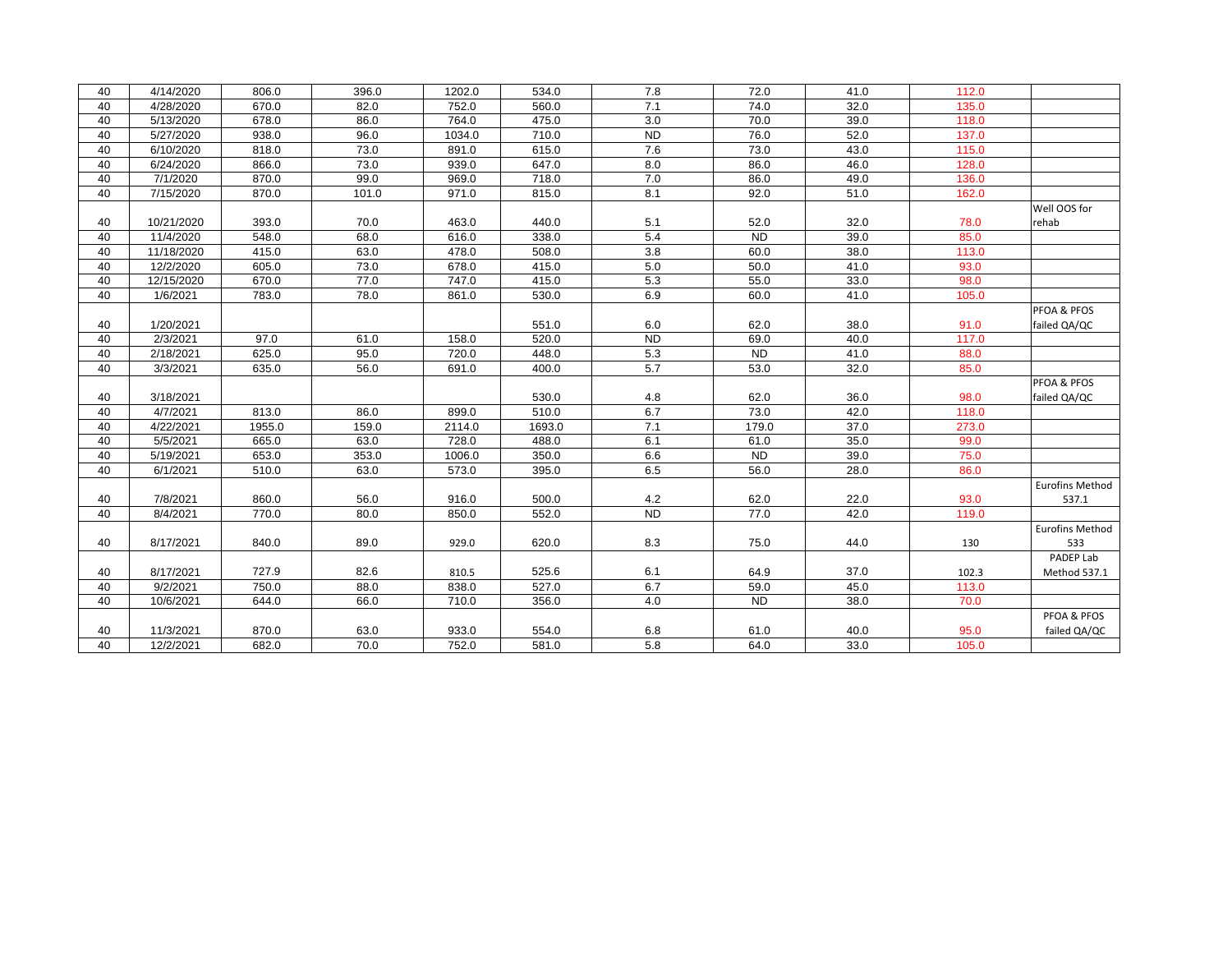| 40 | 4/14/2020  | 806.0  | 396.0 | 1202.0 | 534.0  | 7.8       | 72.0      | 41.0 | 112.0 |                        |
|----|------------|--------|-------|--------|--------|-----------|-----------|------|-------|------------------------|
| 40 | 4/28/2020  | 670.0  | 82.0  | 752.0  | 560.0  | 7.1       | 74.0      | 32.0 | 135.0 |                        |
| 40 | 5/13/2020  | 678.0  | 86.0  | 764.0  | 475.0  | 3.0       | 70.0      | 39.0 | 118.0 |                        |
| 40 | 5/27/2020  | 938.0  | 96.0  | 1034.0 | 710.0  | <b>ND</b> | 76.0      | 52.0 | 137.0 |                        |
| 40 | 6/10/2020  | 818.0  | 73.0  | 891.0  | 615.0  | 7.6       | 73.0      | 43.0 | 115.0 |                        |
| 40 | 6/24/2020  | 866.0  | 73.0  | 939.0  | 647.0  | 8.0       | 86.0      | 46.0 | 128.0 |                        |
| 40 | 7/1/2020   | 870.0  | 99.0  | 969.0  | 718.0  | 7.0       | 86.0      | 49.0 | 136.0 |                        |
| 40 | 7/15/2020  | 870.0  | 101.0 | 971.0  | 815.0  | 8.1       | 92.0      | 51.0 | 162.0 |                        |
|    |            |        |       |        |        |           |           |      |       | Well OOS for           |
| 40 | 10/21/2020 | 393.0  | 70.0  | 463.0  | 440.0  | 5.1       | 52.0      | 32.0 | 78.0  | rehab                  |
| 40 | 11/4/2020  | 548.0  | 68.0  | 616.0  | 338.0  | 5.4       | <b>ND</b> | 39.0 | 85.0  |                        |
| 40 | 11/18/2020 | 415.0  | 63.0  | 478.0  | 508.0  | 3.8       | 60.0      | 38.0 | 113.0 |                        |
| 40 | 12/2/2020  | 605.0  | 73.0  | 678.0  | 415.0  | 5.0       | 50.0      | 41.0 | 93.0  |                        |
| 40 | 12/15/2020 | 670.0  | 77.0  | 747.0  | 415.0  | 5.3       | 55.0      | 33.0 | 98.0  |                        |
| 40 | 1/6/2021   | 783.0  | 78.0  | 861.0  | 530.0  | 6.9       | 60.0      | 41.0 | 105.0 |                        |
|    |            |        |       |        |        |           |           |      |       | PFOA & PFOS            |
| 40 | 1/20/2021  |        |       |        | 551.0  | 6.0       | 62.0      | 38.0 | 91.0  | failed QA/QC           |
| 40 | 2/3/2021   | 97.0   | 61.0  | 158.0  | 520.0  | <b>ND</b> | 69.0      | 40.0 | 117.0 |                        |
| 40 | 2/18/2021  | 625.0  | 95.0  | 720.0  | 448.0  | 5.3       | <b>ND</b> | 41.0 | 88.0  |                        |
| 40 | 3/3/2021   | 635.0  | 56.0  | 691.0  | 400.0  | 5.7       | 53.0      | 32.0 | 85.0  |                        |
|    |            |        |       |        |        |           |           |      |       | PFOA & PFOS            |
| 40 | 3/18/2021  |        |       |        | 530.0  | 4.8       | 62.0      | 36.0 | 98.0  | failed QA/QC           |
| 40 | 4/7/2021   | 813.0  | 86.0  | 899.0  | 510.0  | 6.7       | 73.0      | 42.0 | 118.0 |                        |
| 40 | 4/22/2021  | 1955.0 | 159.0 | 2114.0 | 1693.0 | 7.1       | 179.0     | 37.0 | 273.0 |                        |
| 40 | 5/5/2021   | 665.0  | 63.0  | 728.0  | 488.0  | 6.1       | 61.0      | 35.0 | 99.0  |                        |
| 40 | 5/19/2021  | 653.0  | 353.0 | 1006.0 | 350.0  | 6.6       | <b>ND</b> | 39.0 | 75.0  |                        |
| 40 | 6/1/2021   | 510.0  | 63.0  | 573.0  | 395.0  | 6.5       | 56.0      | 28.0 | 86.0  |                        |
|    |            |        |       |        |        |           |           |      |       | <b>Eurofins Method</b> |
| 40 | 7/8/2021   | 860.0  | 56.0  | 916.0  | 500.0  | 4.2       | 62.0      | 22.0 | 93.0  | 537.1                  |
| 40 | 8/4/2021   | 770.0  | 80.0  | 850.0  | 552.0  | <b>ND</b> | 77.0      | 42.0 | 119.0 |                        |
|    |            |        |       |        |        |           |           |      |       | <b>Eurofins Method</b> |
| 40 | 8/17/2021  | 840.0  | 89.0  | 929.0  | 620.0  | 8.3       | 75.0      | 44.0 | 130   | 533                    |
|    |            |        |       |        |        |           |           |      |       | PADEP Lab              |
| 40 | 8/17/2021  | 727.9  | 82.6  | 810.5  | 525.6  | 6.1       | 64.9      | 37.0 | 102.3 | Method 537.1           |
| 40 | 9/2/2021   | 750.0  | 88.0  | 838.0  | 527.0  | 6.7       | 59.0      | 45.0 | 113.0 |                        |
| 40 | 10/6/2021  | 644.0  | 66.0  | 710.0  | 356.0  | 4.0       | <b>ND</b> | 38.0 | 70.0  |                        |
|    |            |        |       |        |        |           |           |      |       | PFOA & PFOS            |
| 40 | 11/3/2021  | 870.0  | 63.0  | 933.0  | 554.0  | 6.8       | 61.0      | 40.0 | 95.0  | failed QA/QC           |
| 40 | 12/2/2021  | 682.0  | 70.0  | 752.0  | 581.0  | 5.8       | 64.0      | 33.0 | 105.0 |                        |